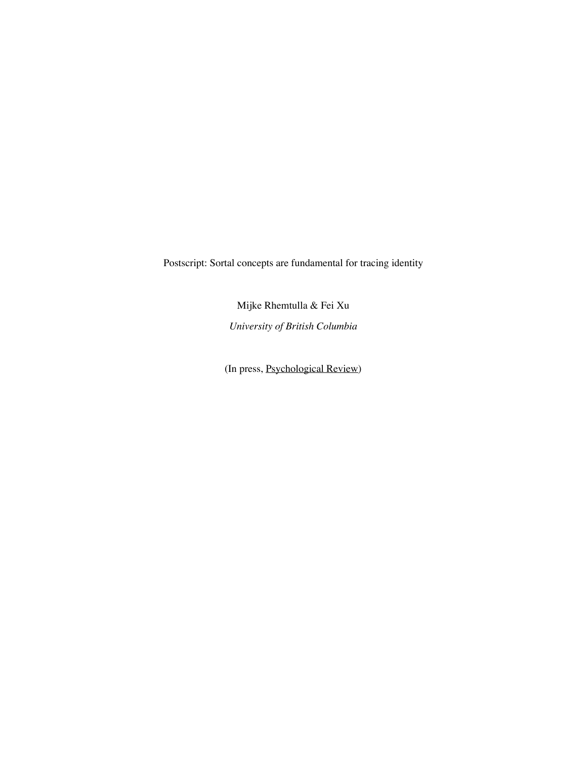Postscript: Sortal concepts are fundamental for tracing identity

Mijke Rhemtulla & Fei Xu *University of British Columbia*

(In press, Psychological Review)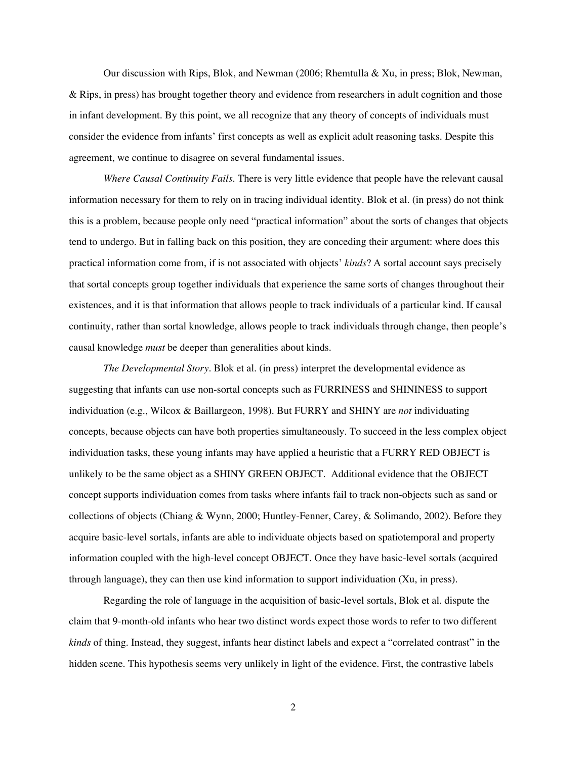Our discussion with Rips, Blok, and Newman (2006; Rhemtulla & Xu, in press; Blok, Newman, & Rips, in press) has brought together theory and evidence from researchers in adult cognition and those in infant development. By this point, we all recognize that any theory of concepts of individuals must consider the evidence from infants' first concepts as well as explicit adult reasoning tasks. Despite this agreement, we continue to disagree on several fundamental issues.

*Where Causal Continuity Fails.* There is very little evidence that people have the relevant causal information necessary for them to rely on in tracing individual identity. Blok et al. (in press) do not think this is a problem, because people only need "practical information" about the sorts of changes that objects tend to undergo. But in falling back on this position, they are conceding their argument: where does this practical information come from, if is not associated with objects' *kinds*? A sortal account says precisely that sortal concepts group together individuals that experience the same sorts of changes throughout their existences, and it is that information that allows people to track individuals of a particular kind. If causal continuity, rather than sortal knowledge, allows people to track individuals through change, then people's causal knowledge *must* be deeper than generalities about kinds.

*The Developmental Story.* Blok et al. (in press) interpret the developmental evidence as suggesting that infants can use non-sortal concepts such as FURRINESS and SHININESS to support individuation (e.g., Wilcox & Baillargeon, 1998). But FURRY and SHINY are *not* individuating concepts, because objects can have both properties simultaneously. To succeed in the less complex object individuation tasks, these young infants may have applied a heuristic that a FURRY RED OBJECT is unlikely to be the same object as a SHINY GREEN OBJECT. Additional evidence that the OBJECT concept supports individuation comes from tasks where infants fail to track non-objects such as sand or collections of objects (Chiang & Wynn, 2000; Huntley-Fenner, Carey, & Solimando, 2002). Before they acquire basic-level sortals, infants are able to individuate objects based on spatiotemporal and property information coupled with the high-level concept OBJECT. Once they have basic-level sortals (acquired through language), they can then use kind information to support individuation (Xu, in press).

Regarding the role of language in the acquisition of basic-level sortals, Blok et al. dispute the claim that 9-month-old infants who hear two distinct words expect those words to refer to two different *kinds* of thing. Instead, they suggest, infants hear distinct labels and expect a "correlated contrast" in the hidden scene. This hypothesis seems very unlikely in light of the evidence. First, the contrastive labels

2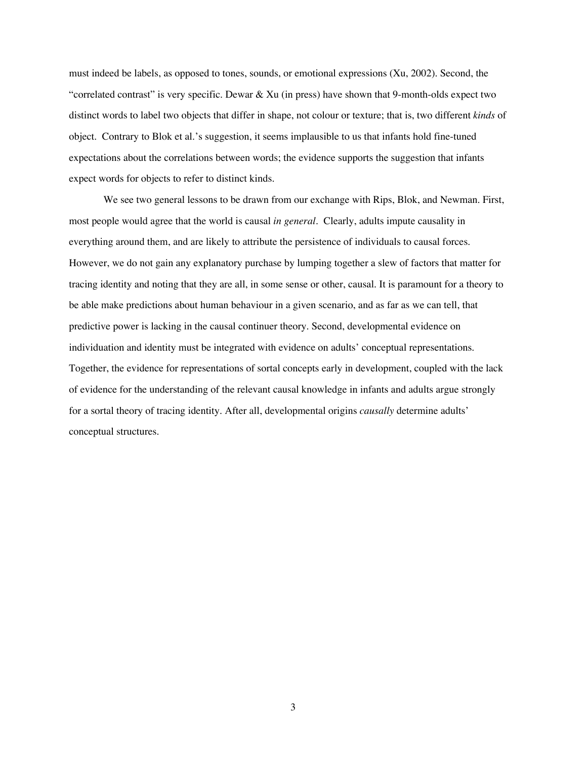must indeed be labels, as opposed to tones, sounds, or emotional expressions (Xu, 2002). Second, the "correlated contrast" is very specific. Dewar  $\&$  Xu (in press) have shown that 9-month-olds expect two distinct words to label two objects that differ in shape, not colour or texture; that is, two different *kinds* of object. Contrary to Blok et al.'s suggestion, it seems implausible to us that infants hold fine-tuned expectations about the correlations between words; the evidence supports the suggestion that infants expect words for objects to refer to distinct kinds.

We see two general lessons to be drawn from our exchange with Rips, Blok, and Newman. First, most people would agree that the world is causal *in general*. Clearly, adults impute causality in everything around them, and are likely to attribute the persistence of individuals to causal forces. However, we do not gain any explanatory purchase by lumping together a slew of factors that matter for tracing identity and noting that they are all, in some sense or other, causal. It is paramount for a theory to be able make predictions about human behaviour in a given scenario, and as far as we can tell, that predictive power is lacking in the causal continuer theory. Second, developmental evidence on individuation and identity must be integrated with evidence on adults' conceptual representations. Together, the evidence for representations of sortal concepts early in development, coupled with the lack of evidence for the understanding of the relevant causal knowledge in infants and adults argue strongly for a sortal theory of tracing identity. After all, developmental origins *causally* determine adults' conceptual structures.